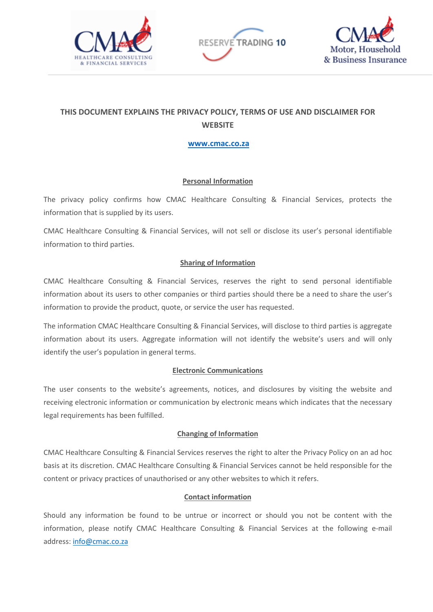





# **THIS DOCUMENT EXPLAINS THE PRIVACY POLICY, TERMS OF USE AND DISCLAIMER FOR WEBSITE**

## **[www.cmac.co.za](http://www.cmac.co.za/)**

## **Personal Information**

The privacy policy confirms how CMAC Healthcare Consulting & Financial Services, protects the information that is supplied by its users.

CMAC Healthcare Consulting & Financial Services, will not sell or disclose its user's personal identifiable information to third parties.

# **Sharing of Information**

CMAC Healthcare Consulting & Financial Services, reserves the right to send personal identifiable information about its users to other companies or third parties should there be a need to share the user's information to provide the product, quote, or service the user has requested.

The information CMAC Healthcare Consulting & Financial Services, will disclose to third parties is aggregate information about its users. Aggregate information will not identify the website's users and will only identify the user's population in general terms.

#### **Electronic Communications**

The user consents to the website's agreements, notices, and disclosures by visiting the website and receiving electronic information or communication by electronic means which indicates that the necessary legal requirements has been fulfilled.

#### **Changing of Information**

CMAC Healthcare Consulting & Financial Services reserves the right to alter the Privacy Policy on an ad hoc basis at its discretion. CMAC Healthcare Consulting & Financial Services cannot be held responsible for the content or privacy practices of unauthorised or any other websites to which it refers.

#### **Contact information**

Should any information be found to be untrue or incorrect or should you not be content with the information, please notify CMAC Healthcare Consulting & Financial Services at the following e-mail address: [info@cmac.co.za](mailto:info@cmac.co.za)